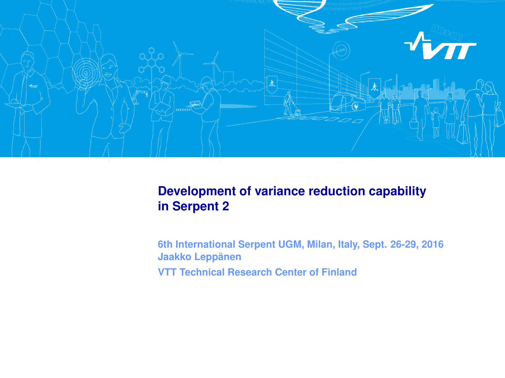

#### **Development of variance reduction capability in Serpent 2**

**6th International Serpent UGM, Milan, Italy, Sept. 26-29, 2016 Jaakko Leppänen VTT Technical Research Center of Finland**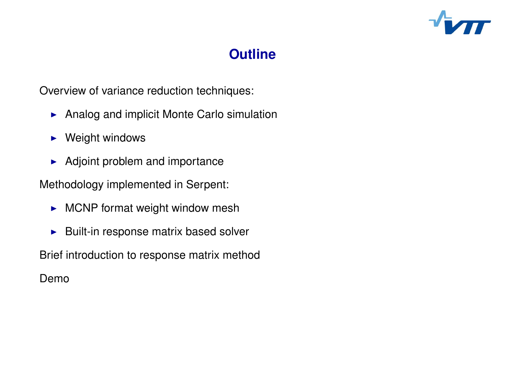

#### **Click to edit Mass Continued Styles Styles Styles Styles Styles Styles Styles Styles Styles Styles Styles Styl Outline**

Overview of variance reduction techniques:

- ► Analog and implicit Monte Carlo simulation
	- $\blacktriangleright$  Weight windows
	- $\blacktriangleright$  Adjoint problem and importance

Methodology implemented in Serpent:

- $\triangleright$  MCNP format weight window mesh
- $\blacktriangleright$  Built-in response matrix based solver

Brief introduction to response matrix method

Demo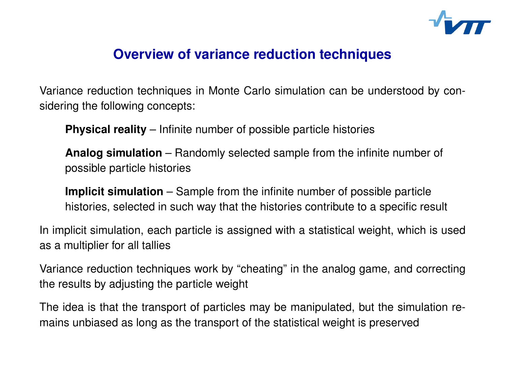

Variance reduction techniques in Monte Carlo simulation can be understood by considering the following concepts:

 Click to edit Master text styles **Physical reality** – Infinite number of possible particle histories

**Analog simulation** – Randomly selected sample from the infinite number of possible particle histories

Implicit simulation - Sample from the infinite number of possible particle histories, selected in such way that the histories contribute to a specific result

In implicit simulation, each particle is assigned with a statistical weight, which is used as a multiplier for all tallies

Variance reduction techniques work by "cheating" in the analog game, and correcting the results by adjusting the particle weight

The idea is that the transport of particles may be manipulated, but the simulation remains unbiased as long as the transport of the statistical weight is preserved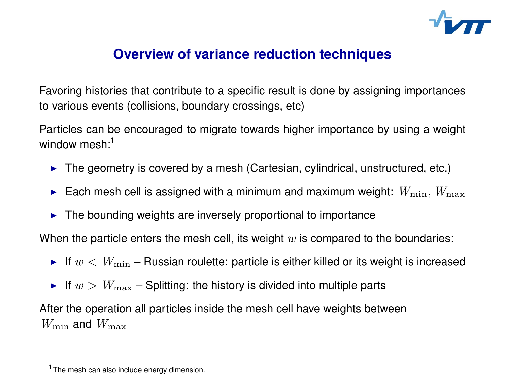

Favoring histories that contribute to a specific result is done by assigning importances to various events (collisions, boundary crossings, etc)

Particles can be encouraged to migrate towards higher importance by using a weight window mesh:<sup>1</sup>

- $\blacktriangleright$  The geometry is covered by a mesh (Cartesian, cylindrical, unstructured, etc.)
- $\blacktriangleright$  Each mesh cell is assigned with a minimum and maximum weight:  $W_{\min},$   $W_{\max}$
- $\blacktriangleright$  The bounding weights are inversely proportional to importance

When the particle enters the mesh cell, its weight *w* is compared to the boundaries:

- If  $w < W_{\text{min}}$  Russian roulette: particle is either killed or its weight is increased
- If  $w > W_{\text{max}}$  Splitting: the history is divided into multiple parts

After the operation all particles inside the mesh cell have weights between  $W_{\text{min}}$  and  $W_{\text{max}}$ 

<sup>&</sup>lt;sup>1</sup> The mesh can also include energy dimension.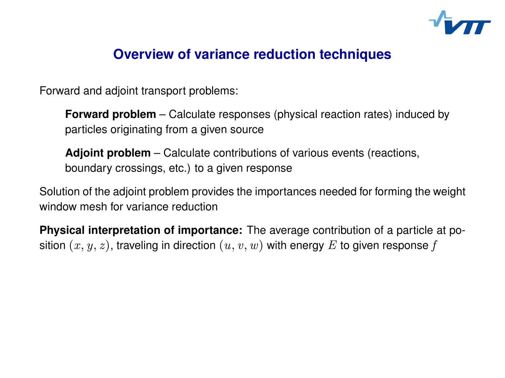

Forward and adjoint transport problems:

**Forward problem** – Calculate responses (physical reaction rates) induced by particles originating from a given source

**Adjoint problem** – Calculate contributions of various events (reactions, boundary crossings, etc.) to a given response

Solution of the adjoint problem provides the importances needed for forming the weight window mesh for variance reduction

**Physical interpretation of importance:** The average contribution of a particle at position  $(x, y, z)$ , traveling in direction  $(u, v, w)$  with energy E to given response f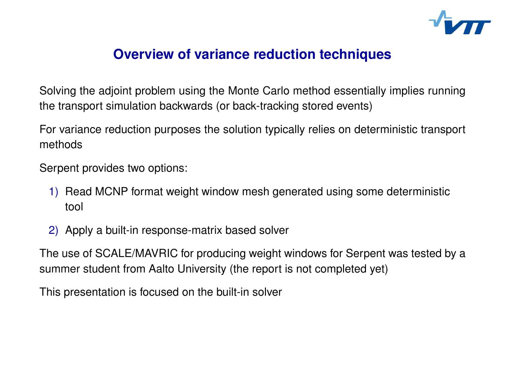

Solving the adjoint problem using the Monte Carlo method essentially implies running the transport simulation backwards (or back-tracking stored events)

 Click to edit Master text styles For variance reduction purposes the solution typically relies on deterministic transport<br>methods methods

Serpent provides two options:<br>.

- 1) Read MCNP format weight window mesh generated using some deterministic tool
- 2) Apply a built-in response-matrix based solver

The use of SCALE/MAVRIC for producing weight windows for Serpent was tested by a summer student from Aalto University (the report is not completed yet)

This presentation is focused on the built-in solver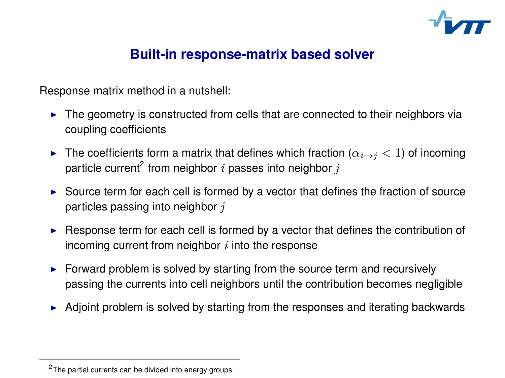

# **Click to edit Master title style Built-in response-matrix based solver**

Response matrix method in a nutshell:

- I The geometry is constructed from cells that are connected to their neighbors via coupling coefficients
	- ► The coefficients form a matrix that defines which fraction ( $\alpha_{i\rightarrow j}$  < 1) of incoming particle current<sup>2</sup> from neighbor  $i$  passes into neighbor  $j$
	- $\triangleright$  Source term for each cell is formed by a vector that defines the fraction of source particles passing into neighbor *j*
	- $\blacktriangleright$  Response term for each cell is formed by a vector that defines the contribution of incoming current from neighbor *i* into the response
	- Forward problem is solved by starting from the source term and recursively passing the currents into cell neighbors until the contribution becomes negligible
	- $\blacktriangleright$  Adjoint problem is solved by starting from the responses and iterating backwards

<sup>&</sup>lt;sup>2</sup> The partial currents can be divided into energy groups.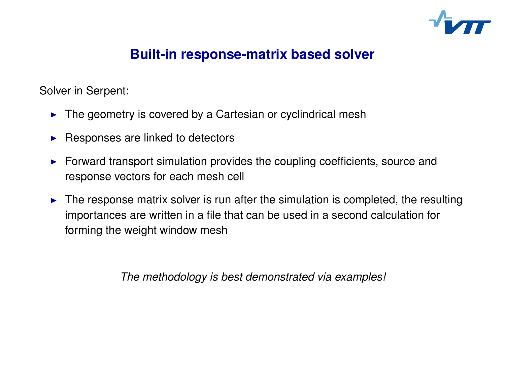

# **Click to edit Master title style Built-in response-matrix based solver**

Solver in Serpent:

- $\blacktriangleright$  The geometry is covered by a Cartesian or cyclindrical mesh
	- $\blacktriangleright$  Responses are linked to detectors
	- $\blacktriangleright$  Forward transport simulation provides the coupling coefficients, source and response vectors for each mesh cell
	- $\blacktriangleright$  The response matrix solver is run after the simulation is completed, the resulting importances are written in a file that can be used in a second calculation for forming the weight window mesh

*The methodology is best demonstrated via examples!*